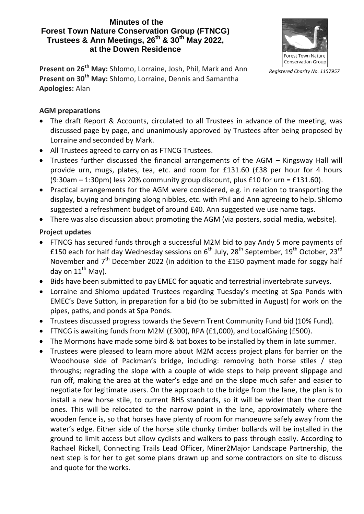#### **Minutes of the Forest Town Nature Conservation Group (FTNCG) Trustees & Ann Meetings, 26th & 30th May 2022, at the Dowen Residence**



**Present on 26th May:** Shlomo, Lorraine, Josh, Phil, Mark and Ann **Present on 30th May:** Shlomo, Lorraine, Dennis and Samantha **Apologies:** Alan

#### **AGM preparations**

- The draft Report & Accounts, circulated to all Trustees in advance of the meeting, was discussed page by page, and unanimously approved by Trustees after being proposed by Lorraine and seconded by Mark.
- All Trustees agreed to carry on as FTNCG Trustees.
- Trustees further discussed the financial arrangements of the AGM Kingsway Hall will provide urn, mugs, plates, tea, etc. and room for £131.60 (£38 per hour for 4 hours (9:30am – 1:30pm) less 20% community group discount, plus £10 for urn = £131.60).
- Practical arrangements for the AGM were considered, e.g. in relation to transporting the display, buying and bringing along nibbles, etc. with Phil and Ann agreeing to help. Shlomo suggested a refreshment budget of around £40. Ann suggested we use name tags.
- There was also discussion about promoting the AGM (via posters, social media, website).

# **Project updates**

- FTNCG has secured funds through a successful M2M bid to pay Andy 5 more payments of £150 each for half day Wednesday sessions on 6<sup>th</sup> July, 28<sup>th</sup> September, 19<sup>th</sup> October, 23<sup>rd</sup> November and 7<sup>th</sup> December 2022 (in addition to the £150 payment made for soggy half day on  $11^{th}$  May).
- Bids have been submitted to pay EMEC for aquatic and terrestrial invertebrate surveys.
- Lorraine and Shlomo updated Trustees regarding Tuesday's meeting at Spa Ponds with EMEC's Dave Sutton, in preparation for a bid (to be submitted in August) for work on the pipes, paths, and ponds at Spa Ponds.
- Trustees discussed progress towards the Severn Trent Community Fund bid (10% Fund).
- FTNCG is awaiting funds from M2M (£300), RPA (£1,000), and LocalGiving (£500).
- The Mormons have made some bird & bat boxes to be installed by them in late summer.
- Trustees were pleased to learn more about M2M access project plans for barrier on the Woodhouse side of Packman's bridge, including: removing both horse stiles / step throughs; regrading the slope with a couple of wide steps to help prevent slippage and run off, making the area at the water's edge and on the slope much safer and easier to negotiate for legitimate users. On the approach to the bridge from the lane, the plan is to install a new horse stile, to current BHS standards, so it will be wider than the current ones. This will be relocated to the narrow point in the lane, approximately where the wooden fence is, so that horses have plenty of room for manoeuvre safely away from the water's edge. Either side of the horse stile chunky timber bollards will be installed in the ground to limit access but allow cyclists and walkers to pass through easily. According to Rachael Rickell, Connecting Trails Lead Officer, Miner2Major Landscape Partnership, the next step is for her to get some plans drawn up and some contractors on site to discuss and quote for the works.